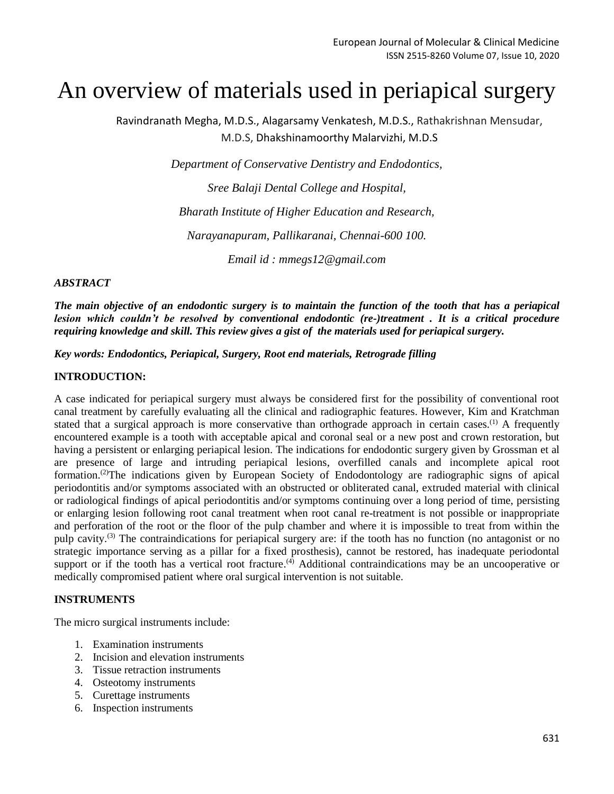# An overview of materials used in periapical surgery

Ravindranath Megha, M.D.S., Alagarsamy Venkatesh, M.D.S., Rathakrishnan Mensudar, M.D.S, Dhakshinamoorthy Malarvizhi, M.D.S

*Department of Conservative Dentistry and Endodontics,*

*Sree Balaji Dental College and Hospital, Bharath Institute of Higher Education and Research,*

*Narayanapuram, Pallikaranai, Chennai-600 100.*

*Email id : mmegs12@gmail.com*

# *ABSTRACT*

*The main objective of an endodontic surgery is to maintain the function of the tooth that has a periapical lesion which couldn't be resolved by conventional endodontic (re-)treatment . It is a critical procedure requiring knowledge and skill. This review gives a gist of the materials used for periapical surgery.*

*Key words: Endodontics, Periapical, Surgery, Root end materials, Retrograde filling*

# **INTRODUCTION:**

A case indicated for periapical surgery must always be considered first for the possibility of conventional root canal treatment by carefully evaluating all the clinical and radiographic features. However, Kim and Kratchman stated that a surgical approach is more conservative than orthograde approach in certain cases.<sup>(1)</sup> A frequently encountered example is a tooth with acceptable apical and coronal seal or a new post and crown restoration, but having a persistent or enlarging periapical lesion. The indications for endodontic surgery given by Grossman et al are presence of large and intruding periapical lesions, overfilled canals and incomplete apical root formation. (2)The indications given by European Society of Endodontology are radiographic signs of apical periodontitis and/or symptoms associated with an obstructed or obliterated canal, extruded material with clinical or radiological findings of apical periodontitis and/or symptoms continuing over a long period of time, persisting or enlarging lesion following root canal treatment when root canal re-treatment is not possible or inappropriate and perforation of the root or the floor of the pulp chamber and where it is impossible to treat from within the pulp cavity.(3) The contraindications for periapical surgery are: if the tooth has no function (no antagonist or no strategic importance serving as a pillar for a fixed prosthesis), cannot be restored, has inadequate periodontal support or if the tooth has a vertical root fracture.<sup>(4)</sup> Additional contraindications may be an uncooperative or medically compromised patient where oral surgical intervention is not suitable.

# **INSTRUMENTS**

The micro surgical instruments include:

- 1. Examination instruments
- 2. Incision and elevation instruments
- 3. Tissue retraction instruments
- 4. Osteotomy instruments
- 5. Curettage instruments
- 6. Inspection instruments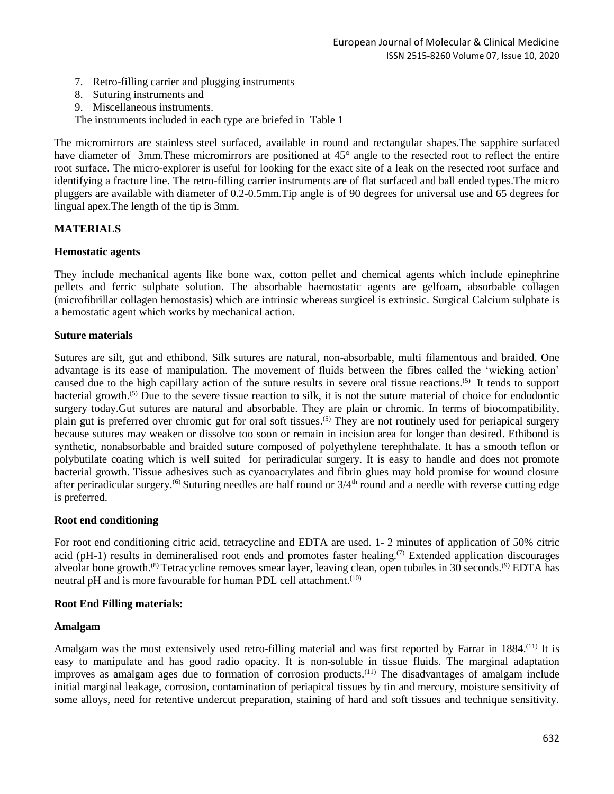- 7. Retro-filling carrier and plugging instruments
- 8. Suturing instruments and
- 9. Miscellaneous instruments.

The instruments included in each type are briefed in Table 1

The micromirrors are stainless steel surfaced, available in round and rectangular shapes.The sapphire surfaced have diameter of 3mm. These micromirrors are positioned at 45° angle to the resected root to reflect the entire root surface. The micro-explorer is useful for looking for the exact site of a leak on the resected root surface and identifying a fracture line. The retro-filling carrier instruments are of flat surfaced and ball ended types.The micro pluggers are available with diameter of 0.2-0.5mm.Tip angle is of 90 degrees for universal use and 65 degrees for lingual apex.The length of the tip is 3mm.

# **MATERIALS**

#### **Hemostatic agents**

They include mechanical agents like bone wax, cotton pellet and chemical agents which include epinephrine pellets and ferric sulphate solution. The absorbable haemostatic agents are gelfoam, absorbable collagen (microfibrillar collagen hemostasis) which are intrinsic whereas surgicel is extrinsic. Surgical Calcium sulphate is a hemostatic agent which works by mechanical action.

#### **Suture materials**

Sutures are silt, gut and ethibond. Silk sutures are natural, non-absorbable, multi filamentous and braided. One advantage is its ease of manipulation. The movement of fluids between the fibres called the 'wicking action' caused due to the high capillary action of the suture results in severe oral tissue reactions.(5) It tends to support bacterial growth.<sup>(5)</sup> Due to the severe tissue reaction to silk, it is not the suture material of choice for endodontic surgery today.Gut sutures are natural and absorbable. They are plain or chromic. In terms of biocompatibility, plain gut is preferred over chromic gut for oral soft tissues.<sup>(5)</sup> They are not routinely used for periapical surgery because sutures may weaken or dissolve too soon or remain in incision area for longer than desired. Ethibond is synthetic, nonabsorbable and braided suture composed of polyethylene terephthalate. It has a smooth teflon or polybutilate coating which is well suited for periradicular surgery. It is easy to handle and does not promote bacterial growth. Tissue adhesives such as cyanoacrylates and fibrin glues may hold promise for wound closure after periradicular surgery.<sup>(6)</sup> Suturing needles are half round or  $3/4<sup>th</sup>$  round and a needle with reverse cutting edge is preferred.

# **Root end conditioning**

For root end conditioning citric acid, tetracycline and EDTA are used. 1- 2 minutes of application of 50% citric acid (pH-1) results in demineralised root ends and promotes faster healing.<sup>(7)</sup> Extended application discourages alveolar bone growth.<sup>(8)</sup> Tetracycline removes smear layer, leaving clean, open tubules in 30 seconds.<sup>(9)</sup> EDTA has neutral pH and is more favourable for human PDL cell attachment.<sup>(10)</sup>

# **Root End Filling materials:**

# **Amalgam**

Amalgam was the most extensively used retro-filling material and was first reported by Farrar in 1884.<sup>(11)</sup> It is easy to manipulate and has good radio opacity. It is non-soluble in tissue fluids. The marginal adaptation improves as amalgam ages due to formation of corrosion products.(11) The disadvantages of amalgam include initial marginal leakage, corrosion, contamination of periapical tissues by tin and mercury, moisture sensitivity of some alloys, need for retentive undercut preparation, staining of hard and soft tissues and technique sensitivity.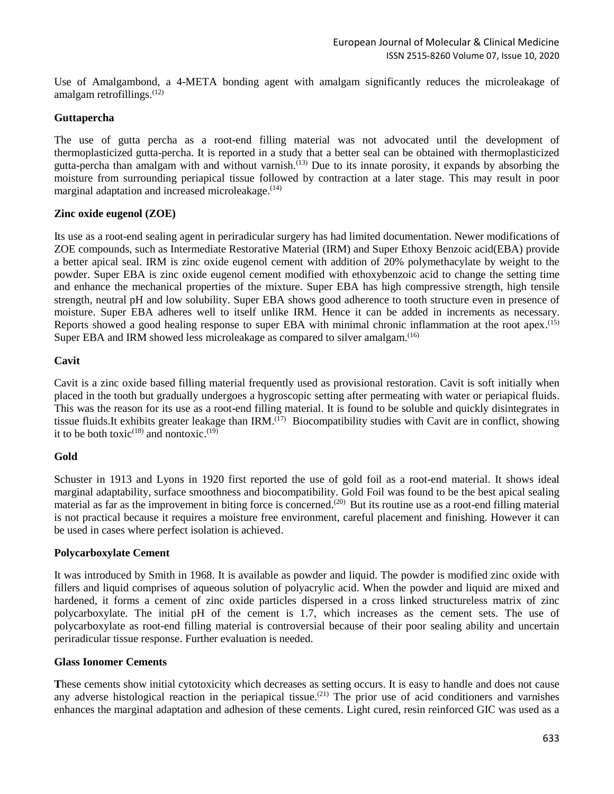Use of Amalgambond, a 4-META bonding agent with amalgam significantly reduces the microleakage of amalgam retrofillings. $(12)$ 

#### **Guttapercha**

The use of gutta percha as a root-end filling material was not advocated until the development of thermoplasticized gutta-percha. It is reported in a study that a better seal can be obtained with thermoplasticized gutta-percha than amalgam with and without varnish.(13) Due to its innate porosity, it expands by absorbing the moisture from surrounding periapical tissue followed by contraction at a later stage. This may result in poor marginal adaptation and increased microleakage.<sup>(14)</sup>

#### **Zinc oxide eugenol (ZOE)**

Its use as a root-end sealing agent in periradicular surgery has had limited documentation. Newer modifications of ZOE compounds, such as Intermediate Restorative Material (IRM) and Super Ethoxy Benzoic acid(EBA) provide a better apical seal. IRM is zinc oxide eugenol cement with addition of 20% polymethacylate by weight to the powder. Super EBA is zinc oxide eugenol cement modified with ethoxybenzoic acid to change the setting time and enhance the mechanical properties of the mixture. Super EBA has high compressive strength, high tensile strength, neutral pH and low solubility. Super EBA shows good adherence to tooth structure even in presence of moisture. Super EBA adheres well to itself unlike IRM. Hence it can be added in increments as necessary. Reports showed a good healing response to super EBA with minimal chronic inflammation at the root apex.<sup>(15)</sup> Super EBA and IRM showed less microleakage as compared to silver amalgam.<sup>(16)</sup>

#### **Cavit**

Cavit is a zinc oxide based filling material frequently used as provisional restoration. Cavit is soft initially when placed in the tooth but gradually undergoes a hygroscopic setting after permeating with water or periapical fluids. This was the reason for its use as a root-end filling material. It is found to be soluble and quickly disintegrates in tissue fluids. It exhibits greater leakage than IRM.<sup>(17)</sup> Biocompatibility studies with Cavit are in conflict, showing it to be both toxic<sup> $(18)$ </sup> and nontoxic.<sup> $(19)$ </sup>

# **Gold**

Schuster in 1913 and Lyons in 1920 first reported the use of gold foil as a root-end material. It shows ideal marginal adaptability, surface smoothness and biocompatibility. Gold Foil was found to be the best apical sealing material as far as the improvement in biting force is concerned.(20) But its routine use as a root-end filling material is not practical because it requires a moisture free environment, careful placement and finishing. However it can be used in cases where perfect isolation is achieved.

#### **Polycarboxylate Cement**

It was introduced by Smith in 1968. It is available as powder and liquid. The powder is modified zinc oxide with fillers and liquid comprises of aqueous solution of polyacrylic acid. When the powder and liquid are mixed and hardened, it forms a cement of zinc oxide particles dispersed in a cross linked structureless matrix of zinc polycarboxylate. The initial pH of the cement is 1.7, which increases as the cement sets. The use of polycarboxylate as root-end filling material is controversial because of their poor sealing ability and uncertain periradicular tissue response. Further evaluation is needed.

#### **Glass Ionomer Cements**

**T**hese cements show initial cytotoxicity which decreases as setting occurs. It is easy to handle and does not cause any adverse histological reaction in the periapical tissue.<sup>(21)</sup> The prior use of acid conditioners and varnishes enhances the marginal adaptation and adhesion of these cements. Light cured, resin reinforced GIC was used as a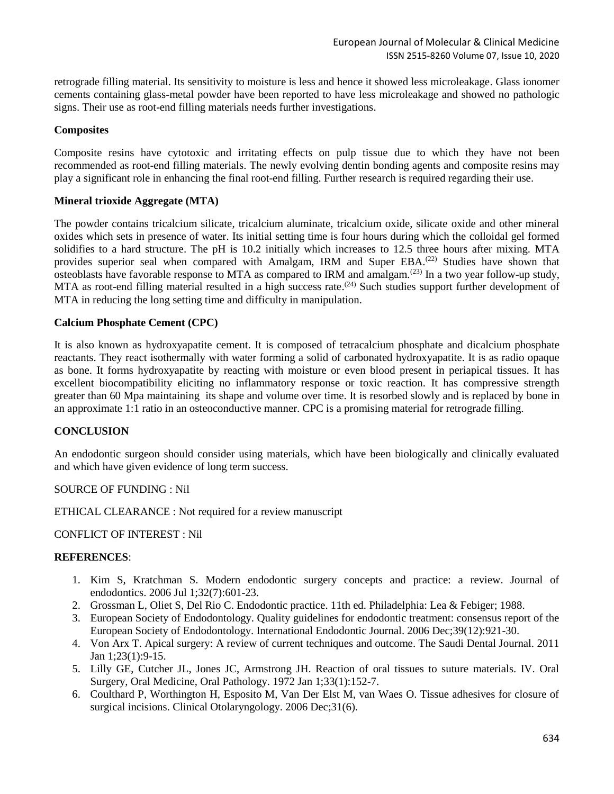retrograde filling material. Its sensitivity to moisture is less and hence it showed less microleakage. Glass ionomer cements containing glass-metal powder have been reported to have less microleakage and showed no pathologic signs. Their use as root-end filling materials needs further investigations.

# **Composites**

Composite resins have cytotoxic and irritating effects on pulp tissue due to which they have not been recommended as root-end filling materials. The newly evolving dentin bonding agents and composite resins may play a significant role in enhancing the final root-end filling. Further research is required regarding their use.

# **Mineral trioxide Aggregate (MTA)**

The powder contains tricalcium silicate, tricalcium aluminate, tricalcium oxide, silicate oxide and other mineral oxides which sets in presence of water. Its initial setting time is four hours during which the colloidal gel formed solidifies to a hard structure. The pH is 10.2 initially which increases to 12.5 three hours after mixing. MTA provides superior seal when compared with Amalgam, IRM and Super EBA.<sup>(22)</sup> Studies have shown that osteoblasts have favorable response to MTA as compared to IRM and amalgam.(23) In a two year follow-up study, MTA as root-end filling material resulted in a high success rate.<sup> $(24)$ </sup> Such studies support further development of MTA in reducing the long setting time and difficulty in manipulation.

# **Calcium Phosphate Cement (CPC)**

It is also known as hydroxyapatite cement. It is composed of tetracalcium phosphate and dicalcium phosphate reactants. They react isothermally with water forming a solid of carbonated hydroxyapatite. It is as radio opaque as bone. It forms hydroxyapatite by reacting with moisture or even blood present in periapical tissues. It has excellent biocompatibility eliciting no inflammatory response or toxic reaction. It has compressive strength greater than 60 Mpa maintaining its shape and volume over time. It is resorbed slowly and is replaced by bone in an approximate 1:1 ratio in an osteoconductive manner. CPC is a promising material for retrograde filling.

# **CONCLUSION**

An endodontic surgeon should consider using materials, which have been biologically and clinically evaluated and which have given evidence of long term success.

SOURCE OF FUNDING : Nil

ETHICAL CLEARANCE : Not required for a review manuscript

CONFLICT OF INTEREST : Nil

# **REFERENCES**:

- 1. Kim S, Kratchman S. Modern endodontic surgery concepts and practice: a review. Journal of endodontics. 2006 Jul 1;32(7):601-23.
- 2. Grossman L, Oliet S, Del Rio C. Endodontic practice. 11th ed. Philadelphia: Lea & Febiger; 1988.
- 3. European Society of Endodontology. Quality guidelines for endodontic treatment: consensus report of the European Society of Endodontology. International Endodontic Journal. 2006 Dec;39(12):921-30.
- 4. Von Arx T. Apical surgery: A review of current techniques and outcome. The Saudi Dental Journal. 2011 Jan 1;23(1):9-15.
- 5. Lilly GE, Cutcher JL, Jones JC, Armstrong JH. Reaction of oral tissues to suture materials. IV. Oral Surgery, Oral Medicine, Oral Pathology. 1972 Jan 1;33(1):152-7.
- 6. Coulthard P, Worthington H, Esposito M, Van Der Elst M, van Waes O. Tissue adhesives for closure of surgical incisions. Clinical Otolaryngology. 2006 Dec; 31(6).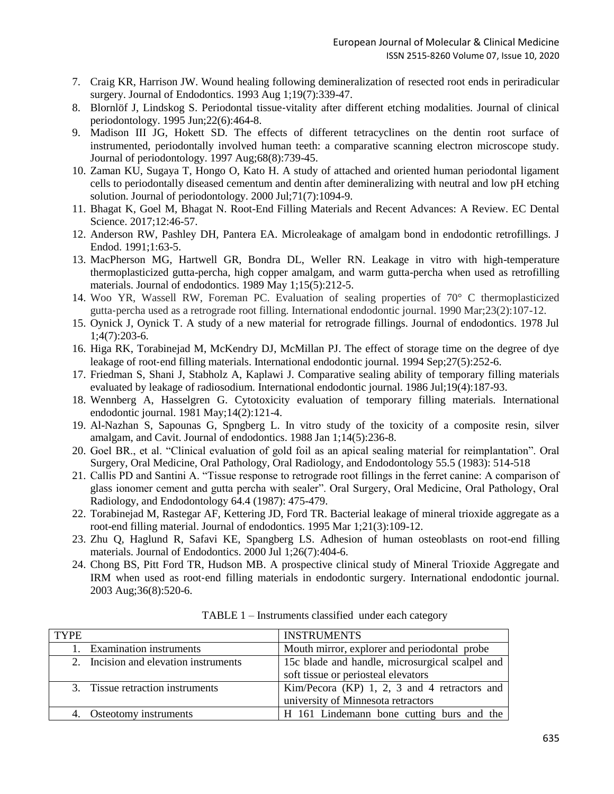- 7. Craig KR, Harrison JW. Wound healing following demineralization of resected root ends in periradicular surgery. Journal of Endodontics. 1993 Aug 1;19(7):339-47.
- 8. Blornlöf J, Lindskog S. Periodontal tissue-vitality after different etching modalities. Journal of clinical periodontology. 1995 Jun;22(6):464-8.
- 9. Madison III JG, Hokett SD. The effects of different tetracyclines on the dentin root surface of instrumented, periodontally involved human teeth: a comparative scanning electron microscope study. Journal of periodontology. 1997 Aug;68(8):739-45.
- 10. Zaman KU, Sugaya T, Hongo O, Kato H. A study of attached and oriented human periodontal ligament cells to periodontally diseased cementum and dentin after demineralizing with neutral and low pH etching solution. Journal of periodontology. 2000 Jul;71(7):1094-9.
- 11. Bhagat K, Goel M, Bhagat N. Root-End Filling Materials and Recent Advances: A Review. EC Dental Science. 2017;12:46-57.
- 12. Anderson RW, Pashley DH, Pantera EA. Microleakage of amalgam bond in endodontic retrofillings. J Endod. 1991;1:63-5.
- 13. MacPherson MG, Hartwell GR, Bondra DL, Weller RN. Leakage in vitro with high-temperature thermoplasticized gutta-percha, high copper amalgam, and warm gutta-percha when used as retrofilling materials. Journal of endodontics. 1989 May 1;15(5):212-5.
- 14. Woo YR, Wassell RW, Foreman PC. Evaluation of sealing properties of 70° C thermoplasticized gutta‐percha used as a retrograde root filling. International endodontic journal. 1990 Mar;23(2):107-12.
- 15. Oynick J, Oynick T. A study of a new material for retrograde fillings. Journal of endodontics. 1978 Jul 1;4(7):203-6.
- 16. Higa RK, Torabinejad M, McKendry DJ, McMillan PJ. The effect of storage time on the degree of dye leakage of root-end filling materials. International endodontic journal. 1994 Sep; 27(5): 252-6.
- 17. Friedman S, Shani J, Stabholz A, Kaplawi J. Comparative sealing ability of temporary filling materials evaluated by leakage of radiosodium. International endodontic journal. 1986 Jul;19(4):187-93.
- 18. Wennberg A, Hasselgren G. Cytotoxicity evaluation of temporary filling materials. International endodontic journal. 1981 May;14(2):121-4.
- 19. Al-Nazhan S, Sapounas G, Spngberg L. In vitro study of the toxicity of a composite resin, silver amalgam, and Cavit. Journal of endodontics. 1988 Jan 1;14(5):236-8.
- 20. Goel BR., et al. "Clinical evaluation of gold foil as an apical sealing material for reimplantation". Oral Surgery, Oral Medicine, Oral Pathology, Oral Radiology, and Endodontology 55.5 (1983): 514-518
- 21. Callis PD and Santini A. "Tissue response to retrograde root fillings in the ferret canine: A comparison of glass ionomer cement and gutta percha with sealer". Oral Surgery, Oral Medicine, Oral Pathology, Oral Radiology, and Endodontology 64.4 (1987): 475-479.
- 22. Torabinejad M, Rastegar AF, Kettering JD, Ford TR. Bacterial leakage of mineral trioxide aggregate as a root-end filling material. Journal of endodontics. 1995 Mar 1;21(3):109-12.
- 23. Zhu Q, Haglund R, Safavi KE, Spangberg LS. Adhesion of human osteoblasts on root-end filling materials. Journal of Endodontics. 2000 Jul 1;26(7):404-6.
- 24. Chong BS, Pitt Ford TR, Hudson MB. A prospective clinical study of Mineral Trioxide Aggregate and IRM when used as root‐end filling materials in endodontic surgery. International endodontic journal. 2003 Aug;36(8):520-6.

| <b>TYPE</b> |                                       | <b>INSTRUMENTS</b>                              |  |  |  |  |
|-------------|---------------------------------------|-------------------------------------------------|--|--|--|--|
|             | 1. Examination instruments            | Mouth mirror, explorer and periodontal probe    |  |  |  |  |
|             | 2. Incision and elevation instruments | 15c blade and handle, microsurgical scalpel and |  |  |  |  |
|             |                                       | soft tissue or periosteal elevators             |  |  |  |  |
|             | 3. Tissue retraction instruments      | Kim/Pecora (KP) 1, 2, 3 and 4 retractors and    |  |  |  |  |
|             |                                       | university of Minnesota retractors              |  |  |  |  |
|             | 4. Osteotomy instruments              | H 161 Lindemann bone cutting burs and the       |  |  |  |  |

TABLE 1 – Instruments classified under each category